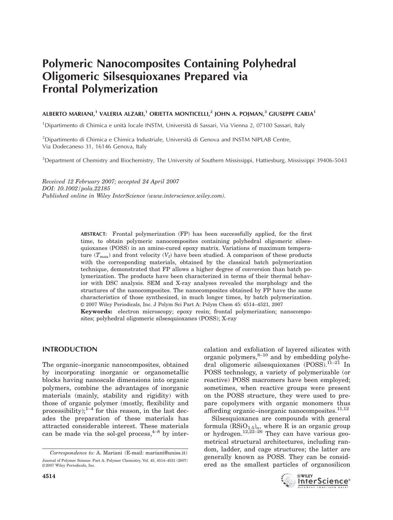# Polymeric Nanocomposites Containing Polyhedral Oligomeric Silsesquioxanes Prepared via Frontal Polymerization

# ALBERTO MARIANI,<sup>1</sup> VALERIA ALZARI,<sup>1</sup> ORIETTA MONTICELLI,<sup>2</sup> JOHN A. POJMAN,<sup>3</sup> GIUSEPPE CARIA<sup>1</sup>

<sup>1</sup>Dipartimento di Chimica e unità locale INSTM, Università di Sassari, Via Vienna 2, 07100 Sassari, Italy

 $^{2}$ Dipartimento di Chimica e Chimica Industriale, Università di Genova and INSTM NIPLAB Centre, Via Dodecaneso 31, 16146 Genova, Italy

<sup>3</sup>Department of Chemistry and Biochemistry, The University of Southern Mississippi, Hattiesburg, Mississippi 39406-5043

Received 12 February 2007; accepted 24 April 2007 DOI: 10.1002/pola.22185 Published online in Wiley InterScience (www.interscience.wiley.com).

> ABSTRACT: Frontal polymerization (FP) has been successfully applied, for the first time, to obtain polymeric nanocomposites containing polyhedral oligomeric silsesquioxanes (POSS) in an amine-cured epoxy matrix. Variations of maximum temperature  $(T_{\text{max}})$  and front velocity  $(V_f)$  have been studied. A comparison of these products with the corresponding materials, obtained by the classical batch polymerization technique, demonstrated that FP allows a higher degree of conversion than batch polymerization. The products have been characterized in terms of their thermal behavior with DSC analysis. SEM and X-ray analyses revealed the morphology and the structures of the nanocomposites. The nanocomposites obtained by FP have the same characteristics of those synthesized, in much longer times, by batch polymerization. V<sup>C</sup> 2007 Wiley Periodicals, Inc. J Polym Sci Part A: Polym Chem 45: 4514–4521, 2007 Keywords: electron microscopy; epoxy resin; frontal polymerization; nanocompo-

sites; polyhedral oligomeric silsesquioxanes (POSS); X-ray

## INTRODUCTION

The organic–inorganic nanocomposites, obtained by incorporating inorganic or organometallic blocks having nanoscale dimensions into organic polymers, combine the advantages of inorganic materials (mainly, stability and rigidity) with those of organic polymer (mostly, flexibility and processibility); $1-4$  for this reason, in the last decades the preparation of these materials has attracted considerable interest. These materials can be made via the sol-gel process,  $4-8$  by intercalation and exfoliation of layered silicates with organic polymers, $8-10$  and by embedding polyhedral oligomeric silsesquioxanes (POSS).11–21 In POSS technology, a variety of polymerizable (or reactive) POSS macromers have been employed; sometimes, when reactive groups were present on the POSS structure, they were used to prepare copolymers with organic monomers thus affording organic-inorganic nanocomposites.<sup>11,12</sup>

Silsesquioxanes are compounds with general formula  $(\mathrm{RSiO}_{1.5})_n$ , where R is an organic group or hydrogen.<sup>12,22–26</sup> They can have various geometrical structural architectures, including random, ladder, and cage structures; the latter are generally known as POSS. They can be considered as the smallest particles of organosilicon



Correspondence to: A. Mariani (E-mail: mariani@uniss.it) Journal of Polymer Science: Part A: Polymer Chemistry, Vol. 45, 4514–4521 (2007) ©2007 Wiley Periodicals, Inc.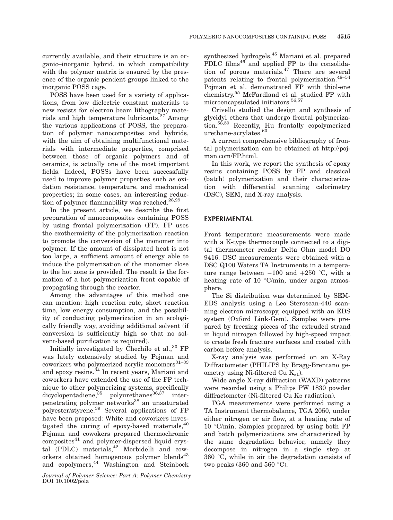currently available, and their structure is an organic–inorganic hybrid, in which compatibility with the polymer matrix is ensured by the presence of the organic pendent groups linked to the inorganic POSS cage.

POSS have been used for a variety of applications, from low dielectric constant materials to new resists for electron beam lithography materials and high temperature lubricants.<sup>27</sup> Among the various applications of POSS, the preparation of polymer nanocomposites and hybrids, with the aim of obtaining multifunctional materials with intermediate properties, comprised between those of organic polymers and of ceramics, is actually one of the most important fields. Indeed, POSSs have been successfully used to improve polymer properties such as oxidation resistance, temperature, and mechanical properties; in some cases, an interesting reduction of polymer flammability was reached.<sup>28,29</sup>

In the present article, we describe the first preparation of nanocomposites containing POSS by using frontal polymerization (FP). FP uses the exothermicity of the polymerization reaction to promote the conversion of the monomer into polymer. If the amount of dissipated heat is not too large, a sufficient amount of energy able to induce the polymerization of the monomer close to the hot zone is provided. The result is the formation of a hot polymerization front capable of propagating through the reactor.

Among the advantages of this method one can mention: high reaction rate, short reaction time, low energy consumption, and the possibility of conducting polymerization in an ecologically friendly way, avoiding additional solvent (if conversion is sufficiently high so that no solvent-based purification is required).

Initially investigated by Chechilo et al.,  $30$  FP was lately extensively studied by Pojman and coworkers who polymerized acrylic monomers $^{31-33}$ and epoxy resins.<sup>34</sup> In recent years, Mariani and coworkers have extended the use of the FP technique to other polymerizing systems, specifically dicyclopentadiene, $35$  polyurethanes $36,37$  interpenetrating polymer networks<sup>38</sup> an unsaturated polyester/styrene.<sup>39</sup> Several applications of FP have been proposed: White and coworkers investigated the curing of epoxy-based materials,<sup>40</sup> Pojman and cowokers prepared thermochromic  $composites<sup>41</sup>$  and polymer-dispersed liquid crystal (PDLC) materials,<sup>42</sup> Morbidelli and coworkers obtained homogenous polymer blends $43$ and copolymers,<sup>44</sup> Washington and Steinbock

Journal of Polymer Science: Part A: Polymer Chemistry DOI 10.1002/pola

synthesized hydrogels,<sup>45</sup> Mariani et al. prepared PDLC films<sup>46</sup> and applied FP to the consolidation of porous materials.<sup>47</sup> There are several patents relating to frontal polymerization.<sup>48-54</sup> Pojman et al. demonstrated FP with thiol-ene chemistry.<sup>55</sup> McFardland et al. studied FP with microencapsulated initiators.<sup>56,57</sup>

Crivello studied the design and synthesis of glycidyl ethers that undergo frontal polymerization.58,59 Recently, Hu frontally copolymerized urethane-acrylates.<sup>60</sup>

A current comprehensive bibliography of frontal polymerization can be obtained at http://pojman.com/FP.html.

In this work, we report the synthesis of epoxy resins containing POSS by FP and classical (batch) polymerization and their characterization with differential scanning calorimetry (DSC), SEM, and X-ray analysis.

## EXPERIMENTAL

Front temperature measurements were made with a K-type thermocouple connected to a digital thermometer reader Delta Ohm model DO 9416. DSC measurements were obtained with a DSC Q100 Waters TA Instruments in a temperature range between  $-100$  and  $+250$  °C, with a heating rate of 10  $\degree$ C/min, under argon atmosphere.

The Si distribution was determined by SEM-EDS analysis using a Leo Steroscan-440 scanning electron microscopy, equipped with an EDS system (Oxford Link-Gem). Samples were prepared by freezing pieces of the extruded strand in liquid nitrogen followed by high-speed impact to create fresh fracture surfaces and coated with carbon before analysis.

X-ray analysis was performed on an X-Ray Diffractometer (PHILIPS by Bragg-Brentano geometry using Ni-filtered Cu  $K_{\alpha 1}$ ).

Wide angle X-ray diffraction (WAXD) patterns were recorded using a Philips PW 1830 powder diffractometer (Ni-filtered Cu Ka radiation).

TGA measurements were performed using a TA Instrument thermobalance, TGA 2050, under either nitrogen or air flow, at a heating rate of  $10$  °C/min. Samples prepared by using both FP and batch polymerizations are characterized by the same degradation behavior, namely they decompose in nitrogen in a single step at  $360$  °C, while in air the degradation consists of two peaks (360 and 560  $\degree$ C).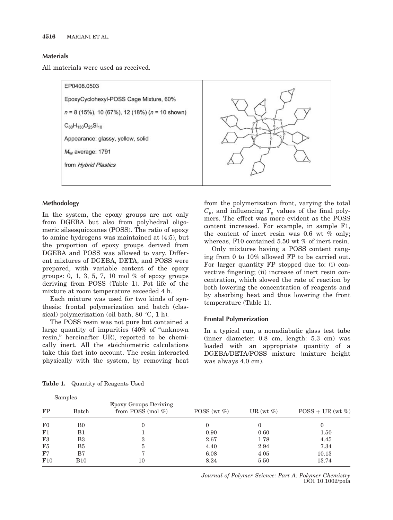#### Materials

All materials were used as received.

EP0408.0503 EpoxyCyclohexyl-POSS Cage Mixture, 60%  $n = 8$  (15%), 10 (67%), 12 (18%) ( $n = 10$  shown)  $C_{80}H_{130}O_{25}Si_{10}$ Appearance: glassy, yellow, solid M<sub>w</sub> average: 1791 from Hybrid Plastics

## Methodology

In the system, the epoxy groups are not only from DGEBA but also from polyhedral oligomeric silsesquioxanes (POSS). The ratio of epoxy to amine hydrogens was maintained at (4:5), but the proportion of epoxy groups derived from DGEBA and POSS was allowed to vary. Different mixtures of DGEBA, DETA, and POSS were prepared, with variable content of the epoxy groups: 0, 1, 3, 5, 7, 10 mol  $%$  of epoxy groups deriving from POSS (Table 1). Pot life of the mixture at room temperature exceeded 4 h.

Each mixture was used for two kinds of synthesis: frontal polymerization and batch (classical) polymerization (oil bath,  $80^{\circ}$ C, 1 h).

The POSS resin was not pure but contained a large quantity of impurities (40% of ''unknown resin,'' hereinafter UR), reported to be chemically inert. All the stoichiometric calculations take this fact into account. The resin interacted physically with the system, by removing heat from the polymerization front, varying the total  $C_p$ , and influencing  $T_g$  values of the final polymers. The effect was more evident as the POSS content increased. For example, in sample F1, the content of inert resin was 0.6 wt % only; whereas, F10 contained 5.50 wt % of inert resin.

Only mixtures having a POSS content ranging from 0 to 10% allowed FP to be carried out. For larger quantity FP stopped due to: (i) convective fingering; (ii) increase of inert resin concentration, which slowed the rate of reaction by both lowering the concentration of reagents and by absorbing heat and thus lowering the front temperature (Table 1).

## Frontal Polymerization

In a typical run, a nonadiabatic glass test tube (inner diameter: 0.8 cm, length: 5.3 cm) was loaded with an appropriate quantity of a DGEBA/DETA/POSS mixture (mixture height was always 4.0 cm).

|                | Samples        |                                                      |                |               |                    |
|----------------|----------------|------------------------------------------------------|----------------|---------------|--------------------|
| FP             | Batch          | <b>Epoxy Groups Deriving</b><br>from POSS (mol $%$ ) | POSS (wt $%$ ) | UR (wt $\%$ ) | $POSS + UR$ (wt %) |
| $_{\rm F0}$    | B <sub>0</sub> | 0                                                    | $\Omega$       | $\Omega$      | 0                  |
| F1             | B1             |                                                      | 0.90           | 0.60          | 1.50               |
| F3             | B3             | 3                                                    | 2.67           | 1.78          | 4.45               |
| F <sub>5</sub> | B <sub>5</sub> | 5                                                    | 4.40           | 2.94          | 7.34               |
| F7             | B7             | $\overline{ }$                                       | 6.08           | 4.05          | 10.13              |
| F10            | <b>B10</b>     | 10                                                   | 8.24           | 5.50          | 13.74              |

Table 1. Quantity of Reagents Used

Journal of Polymer Science: Part A: Polymer Chemistry DOI 10.1002/pola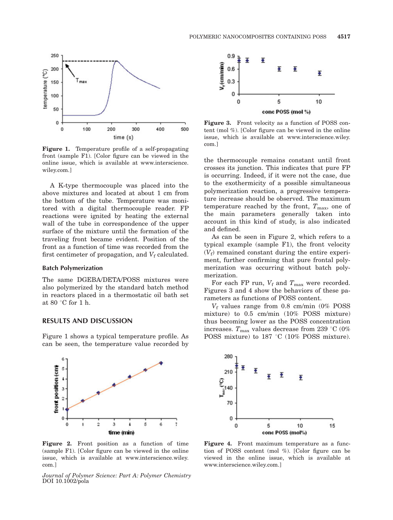

Figure 1. Temperature profile of a self-propagating front (sample F1). [Color figure can be viewed in the online issue, which is available at www.interscience. wiley.com.]

A K-type thermocouple was placed into the above mixtures and located at about 1 cm from the bottom of the tube. Temperature was monitored with a digital thermocouple reader. FP reactions were ignited by heating the external wall of the tube in correspondence of the upper surface of the mixture until the formation of the traveling front became evident. Position of the front as a function of time was recorded from the first centimeter of propagation, and  $V_f$  calculated.

#### Batch Polymerization

The same DGEBA/DETA/POSS mixtures were also polymerized by the standard batch method in reactors placed in a thermostatic oil bath set at 80 $\degree$ C for 1 h.

#### RESULTS AND DISCUSSION

Figure 1 shows a typical temperature profile. As can be seen, the temperature value recorded by



Figure 2. Front position as a function of time (sample F1). [Color figure can be viewed in the online issue, which is available at www.interscience.wiley. com.]

Journal of Polymer Science: Part A: Polymer Chemistry DOI 10.1002/pola



Figure 3. Front velocity as a function of POSS content (mol %). [Color figure can be viewed in the online issue, which is available at www.interscience.wiley. com.]

the thermocouple remains constant until front crosses its junction. This indicates that pure FP is occurring. Indeed, if it were not the case, due to the exothermicity of a possible simultaneous polymerization reaction, a progressive temperature increase should be observed. The maximum temperature reached by the front,  $T_{\text{max}}$ , one of the main parameters generally taken into account in this kind of study, is also indicated and defined.

As can be seen in Figure 2, which refers to a typical example (sample F1), the front velocity  $(V_f)$  remained constant during the entire experiment, further confirming that pure frontal polymerization was occurring without batch polymerization.

For each FP run,  $V_f$  and  $T_{\text{max}}$  were recorded. Figures 3 and 4 show the behaviors of these parameters as functions of POSS content.

 $V_f$  values range from 0.8 cm/min (0% POSS mixture) to 0.5 cm/min (10% POSS mixture) thus becoming lower as the POSS concentration increases.  $T_{\text{max}}$  values decrease from 239 °C (0%) POSS mixture) to 187 °C (10% POSS mixture).



Figure 4. Front maximum temperature as a function of POSS content (mol %). [Color figure can be viewed in the online issue, which is available at www.interscience.wiley.com.]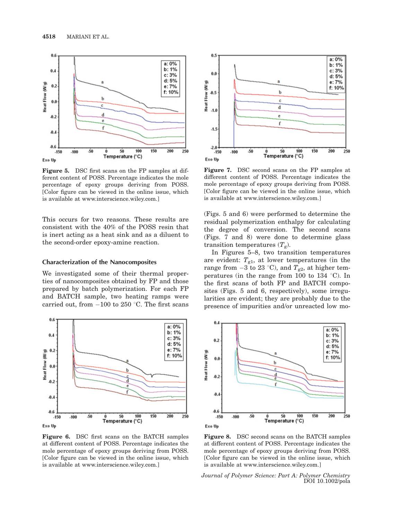

Figure 5. DSC first scans on the FP samples at different content of POSS. Percentage indicates the mole percentage of epoxy groups deriving from POSS. [Color figure can be viewed in the online issue, which is available at www.interscience.wiley.com.]

This occurs for two reasons. These results are consistent with the 40% of the POSS resin that is inert acting as a heat sink and as a diluent to the second-order epoxy-amine reaction.

#### Characterization of the Nanocomposites

We investigated some of their thermal properties of nanocomposites obtained by FP and those prepared by batch polymerization. For each FP and BATCH sample, two heating ramps were carried out, from  $-100$  to 250 °C. The first scans



Figure 6. DSC first scans on the BATCH samples at different content of POSS. Percentage indicates the mole percentage of epoxy groups deriving from POSS. [Color figure can be viewed in the online issue, which is available at www.interscience.wiley.com.]



Figure 7. DSC second scans on the FP samples at different content of POSS. Percentage indicates the mole percentage of epoxy groups deriving from POSS. [Color figure can be viewed in the online issue, which is available at www.interscience.wiley.com.]

(Figs. 5 and 6) were performed to determine the residual polymerization enthalpy for calculating the degree of conversion. The second scans (Figs. 7 and 8) were done to determine glass transition temperatures  $(T_g)$ .

In Figures 5–8, two transition temperatures are evident:  $T_{g1}$ , at lower temperatures (in the range from  $-3$  to 23 °C), and  $T_{g2}$ , at higher temperatures (in the range from 100 to 134  $\degree$ C). In the first scans of both FP and BATCH composites (Figs. 5 and 6, respectively), some irregularities are evident; they are probably due to the presence of impurities and/or unreacted low mo-



Figure 8. DSC second scans on the BATCH samples at different content of POSS. Percentage indicates the mole percentage of epoxy groups deriving from POSS. [Color figure can be viewed in the online issue, which is available at www.interscience.wiley.com.]

Journal of Polymer Science: Part A: Polymer Chemistry DOI 10.1002/pola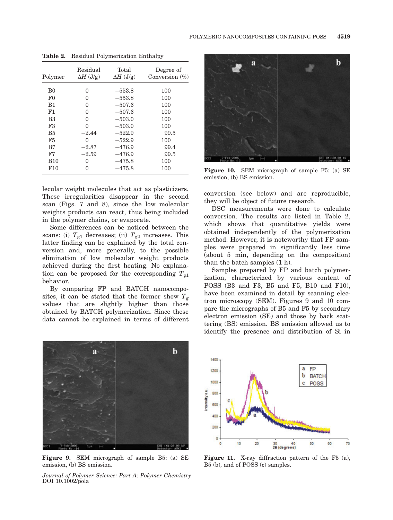| Polymer        | Residual<br>$\Delta H$ (J/g) | Total<br>$\Delta H$ (J/g) | Degree of<br>Conversion $(\%)$ |
|----------------|------------------------------|---------------------------|--------------------------------|
| B <sub>0</sub> | 0                            | $-553.8$                  | 100                            |
| F <sub>0</sub> | 0                            | $-553.8$                  | 100                            |
| B1             | 0                            | $-507.6$                  | 100                            |
| F1             | 0                            | $-507.6$                  | 100                            |
| B <sub>3</sub> | 0                            | $-503.0$                  | 100                            |
| F3             | $\theta$                     | $-503.0$                  | 100                            |
| B <sub>5</sub> | $-2.44$                      | $-522.9$                  | 99.5                           |
| F5             | 0                            | $-522.9$                  | 100                            |
| B7             | $-2.87$                      | $-476.9$                  | 99.4                           |
| F7             | $-2.59$                      | $-476.9$                  | 99.5                           |
| <b>B</b> 10    | $\Omega$                     | $-475.8$                  | 100                            |
| F10            | 0                            | $-475.8$                  | 100                            |

Table 2. Residual Polymerization Enthalpy

lecular weight molecules that act as plasticizers. These irregularities disappear in the second scan (Figs. 7 and 8), since the low molecular weights products can react, thus being included in the polymer chains, or evaporate.

Some differences can be noticed between the scans: (i)  $T_{g1}$  decreases; (ii)  $T_{g2}$  increases. This latter finding can be explained by the total conversion and, more generally, to the possible elimination of low molecular weight products achieved during the first heating. No explanation can be proposed for the corresponding  $T_{g1}$ behavior.

By comparing FP and BATCH nanocomposites, it can be stated that the former show  $T_g$ values that are slightly higher than those obtained by BATCH polymerization. Since these data cannot be explained in terms of different



Figure 9. SEM micrograph of sample B5: (a) SE emission, (b) BS emission.

Journal of Polymer Science: Part A: Polymer Chemistry DOI 10.1002/pola



Figure 10. SEM micrograph of sample F5: (a) SE emission, (b) BS emission.

conversion (see below) and are reproducible, they will be object of future research.

DSC measurements were done to calculate conversion. The results are listed in Table 2, which shows that quantitative yields were obtained independently of the polymerization method. However, it is noteworthy that FP samples were prepared in significantly less time (about 5 min, depending on the composition) than the batch samples (1 h).

Samples prepared by FP and batch polymerization, characterized by various content of POSS (B3 and F3, B5 and F5, B10 and F10), have been examined in detail by scanning electron microscopy (SEM). Figures 9 and 10 compare the micrographs of B5 and F5 by secondary electron emission (SE) and those by back scattering (BS) emission. BS emission allowed us to identify the presence and distribution of Si in



Figure 11. X-ray diffraction pattern of the F5 (a), B5 (b), and of POSS (c) samples.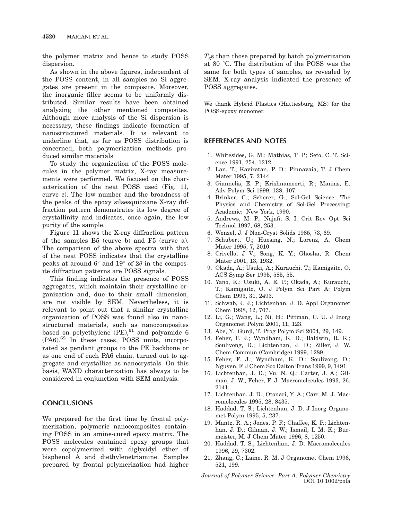the polymer matrix and hence to study POSS dispersion.

As shown in the above figures, independent of the POSS content, in all samples no Si aggregates are present in the composite. Moreover, the inorganic filler seems to be uniformly distributed. Similar results have been obtained analyzing the other mentioned composites. Although more analysis of the Si dispersion is necessary, these findings indicate formation of nanostructured materials. It is relevant to underline that, as far as POSS distribution is concerned, both polymerization methods produced similar materials.

To study the organization of the POSS molecules in the polymer matrix, X-ray measurements were performed. We focused on the characterization of the neat POSS used (Fig. 11, curve c). The low number and the broadness of the peaks of the epoxy silsesquioxane X-ray diffraction pattern demonstrates its low degree of crystallinity and indicates, once again, the low purity of the sample.

Figure 11 shows the X-ray diffraction pattern of the samples B5 (curve b) and F5 (curve a). The comparison of the above spectra with that of the neat POSS indicates that the crystalline peaks at around  $6^{\circ}$  and  $19^{\circ}$  of  $2\theta$  in the composite diffraction patterns are POSS signals.

This finding indicates the presence of POSS aggregates, which maintain their crystalline organization and, due to their small dimension, are not visible by SEM. Nevertheless, it is relevant to point out that a similar crystalline organization of POSS was found also in nanostructured materials, such as nanocomposites based on polyethylene  $(PE)$ ,  $61$  and polyamide 6 (PA6).<sup>62</sup> In these cases, POSS units, incorporated as pendant groups to the PE backbone or as one end of each PA6 chain, turned out to aggregate and crystallize as nanocrystals. On this basis, WAXD characterization has always to be considered in conjunction with SEM analysis.

## **CONCLUSIONS**

We prepared for the first time by frontal polymerization, polymeric nanocomposites containing POSS in an amine-cured epoxy matrix. The POSS molecules contained epoxy groups that were copolymerized with diglycidyl ether of bisphenol A and diethylenetriamine. Samples prepared by frontal polymerization had higher

 $T_{\rm g}$ s than those prepared by batch polymerization at 80 °C. The distribution of the POSS was the same for both types of samples, as revealed by SEM. X-ray analysis indicated the presence of POSS aggregates.

We thank Hybrid Plastics (Hattiesburg, MS) for the POSS-epoxy monomer.

## REFERENCES AND NOTES

- 1. Whitesides, G. M.; Mathias, T. P.; Seto, C. T. Science 1991, 254, 1312.
- 2. Lan, T.; Kaviratan, P. D.; Pinnavaia, T. J Chem Mater 1995, 7, 2144.
- 3. Giannelis, E. P.; Krishnamoorti, R.; Manias, E. Adv Polym Sci 1999, 138, 107.
- 4. Brinker, C.; Scherer, G.; Sol-Gel Science: The Physics and Chemistry of Sol-Gel Processing; Academic: New York, 1990.
- 5. Andrews, M. P.; Najafi, S. I. Crit Rev Opt Sci Technol 1997, 68, 253.
- 6. Wenzel, J. J Non-Cryst Solids 1985, 73, 69.
- 7. Schubert, U.; Huesing, N.; Lorenz, A. Chem Mater 1995, 7, 2010.
- 8. Crivello, J V.; Song, K. Y.; Ghosha, R. Chem Mater 2001, 13, 1932.
- 9. Okada, A.; Usuki, A.; Kurauchi, T.; Kamigaito, O. ACS Symp Ser 1995, 585, 55.
- 10. Yano, K.; Usuki, A. E. P.; Okada, A.; Kurauchi, T.; Kamigaito, O. J Polym Sci Part A: Polym Chem 1993, 31, 2493.
- 11. Schwab, J. J.; Lichtenhan, J. D. Appl Organomet Chem 1998, 12, 707.
- 12. Li, G.; Wang, L.; Ni, H.; Pittman, C. U. J Inorg Organomet Polym 2001, 11, 123.
- 13. Abe, Y.; Gunji, T. Prog Polym Sci 2004, 29, 149.
- 14. Feher, F. J.; Wyndham, K. D.; Baldwin, R. K.; Soulivong, D.; Lichtenhan, J. D.; Ziller, J. W. Chem Commun (Cambridge) 1999, 1289.
- 15. Feher, F. J.; Wyndham, K. D.; Soulivong, D.; Nguyen, F. J Chem Soc Dalton Trans 1999, 9, 1491.
- 16. Lichtenhan, J. D.; Vu, N. Q.; Carter, J. A.; Gilman, J. W.; Feher, F. J. Macromolecules 1993, 26, 2141.
- 17. Lichtenhan, J. D.; Otonari, Y. A.; Carr, M. J. Macromolecules 1995, 28, 8435.
- 18. Haddad, T. S.; Lichtenhan, J. D. J Inorg Organomet Polym 1995, 5, 237.
- 19. Mantz, R. A.; Jones, P. F.; Chaffee, K. P.; Lichtenhan, J. D.; Gilman, J. W.; Ismail, I. M. K.; Burmeister, M. J Chem Mater 1996, 8, 1250.
- 20. Haddad, T. S.; Lichtenhan, J. D. Macromolecules 1996, 29, 7302.
- 21. Zhang, C.; Laine, R. M. J Organomet Chem 1996, 521, 199.

Journal of Polymer Science: Part A: Polymer Chemistry DOI 10.1002/pola